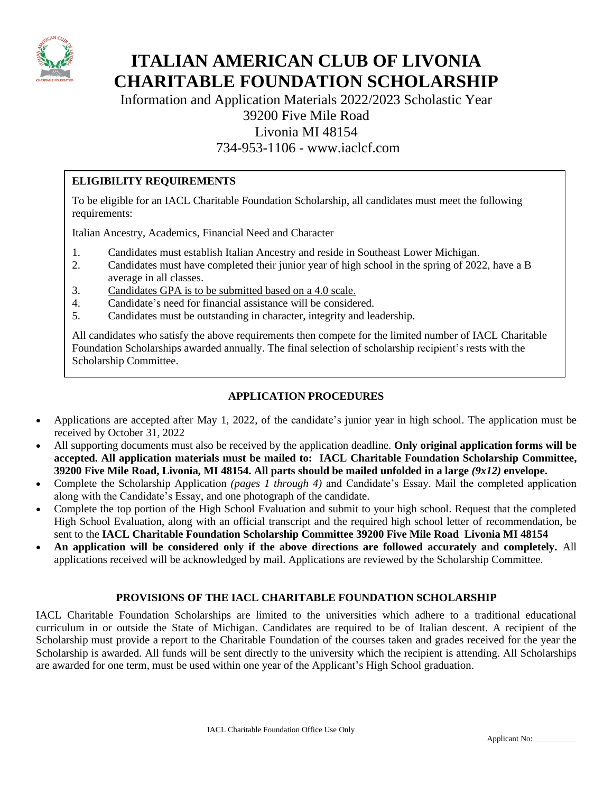

# **ITALIAN AMERICAN CLUB OF LIVONIA CHARITABLE FOUNDATION SCHOLARSHIP**

Information and Application Materials 2022/2023 Scholastic Year

## 39200 Five Mile Road

Livonia MI 48154

### 734-953-1106 - www.iaclcf.com

#### **ELIGIBILITY REQUIREMENTS**

To be eligible for an IACL Charitable Foundation Scholarship, all candidates must meet the following requirements:

Italian Ancestry, Academics, Financial Need and Character

- 1. Candidates must establish Italian Ancestry and reside in Southeast Lower Michigan.
- 2. Candidates must have completed their junior year of high school in the spring of 2022, have a B average in all classes.
- 3. Candidates GPA is to be submitted based on a 4.0 scale.
- 4. Candidate's need for financial assistance will be considered.
- 5. Candidates must be outstanding in character, integrity and leadership.

All candidates who satisfy the above requirements then compete for the limited number of IACL Charitable Foundation Scholarships awarded annually. The final selection of scholarship recipient's rests with the Scholarship Committee.

#### **APPLICATION PROCEDURES**

- Applications are accepted after May 1, 2022, of the candidate's junior year in high school. The application must be received by October 31, 2022
- All supporting documents must also be received by the application deadline. **Only original application forms will be accepted. All application materials must be mailed to: IACL Charitable Foundation Scholarship Committee, 39200 Five Mile Road, Livonia, MI 48154. All parts should be mailed unfolded in a large** *(9x12)* **envelope.**
- Complete the Scholarship Application *(pages 1 through 4)* and Candidate's Essay. Mail the completed application along with the Candidate's Essay, and one photograph of the candidate.
- Complete the top portion of the High School Evaluation and submit to your high school. Request that the completed High School Evaluation, along with an official transcript and the required high school letter of recommendation, be sent to the **IACL Charitable Foundation Scholarship Committee 39200 Five Mile Road Livonia MI 48154**
- **An application will be considered only if the above directions are followed accurately and completely.** All applications received will be acknowledged by mail. Applications are reviewed by the Scholarship Committee.

#### **PROVISIONS OF THE IACL CHARITABLE FOUNDATION SCHOLARSHIP**

IACL Charitable Foundation Scholarships are limited to the universities which adhere to a traditional educational curriculum in or outside the State of Michigan. Candidates are required to be of Italian descent. A recipient of the Scholarship must provide a report to the Charitable Foundation of the courses taken and grades received for the year the Scholarship is awarded. All funds will be sent directly to the university which the recipient is attending. All Scholarships are awarded for one term, must be used within one year of the Applicant's High School graduation.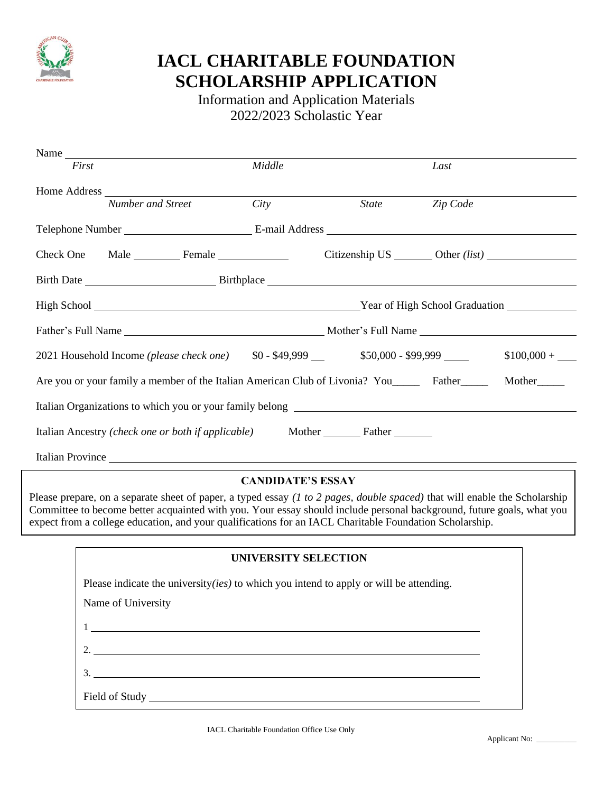

# **IACL CHARITABLE FOUNDATION SCHOLARSHIP APPLICATION**

Information and Application Materials 2022/2023 Scholastic Year

|                                                                                                                        | Name                                              |        |              |          |  |
|------------------------------------------------------------------------------------------------------------------------|---------------------------------------------------|--------|--------------|----------|--|
| First                                                                                                                  |                                                   | Middle |              | Last     |  |
|                                                                                                                        |                                                   |        |              |          |  |
|                                                                                                                        | Number and Street                                 | City   | <i>State</i> | Zip Code |  |
|                                                                                                                        |                                                   |        |              |          |  |
|                                                                                                                        | Check One Male Female Citizenship US Other (list) |        |              |          |  |
|                                                                                                                        |                                                   |        |              |          |  |
|                                                                                                                        |                                                   |        |              |          |  |
|                                                                                                                        |                                                   |        |              |          |  |
|                                                                                                                        |                                                   |        |              |          |  |
| Are you or your family a member of the Italian American Club of Livonia? You_________ Father____________ Mother_______ |                                                   |        |              |          |  |
|                                                                                                                        |                                                   |        |              |          |  |
|                                                                                                                        |                                                   |        |              |          |  |
|                                                                                                                        |                                                   |        |              |          |  |

#### **CANDIDATE'S ESSAY**

Please prepare, on a separate sheet of paper, a typed essay *(1 to 2 pages, double spaced)* that will enable the Scholarship Committee to become better acquainted with you. Your essay should include personal background, future goals, what you expect from a college education, and your qualifications for an IACL Charitable Foundation Scholarship.

| UNIVERSITY SELECTION                                                                                                 |  |
|----------------------------------------------------------------------------------------------------------------------|--|
| Please indicate the university(ies) to which you intend to apply or will be attending.                               |  |
| Name of University                                                                                                   |  |
| <u> 1980 - Antonio Alemania, prima postala de la contrada de la contrada de la contrada de la contrada de la con</u> |  |
| 2. $\qquad \qquad$                                                                                                   |  |
| $\mathcal{E}$                                                                                                        |  |
|                                                                                                                      |  |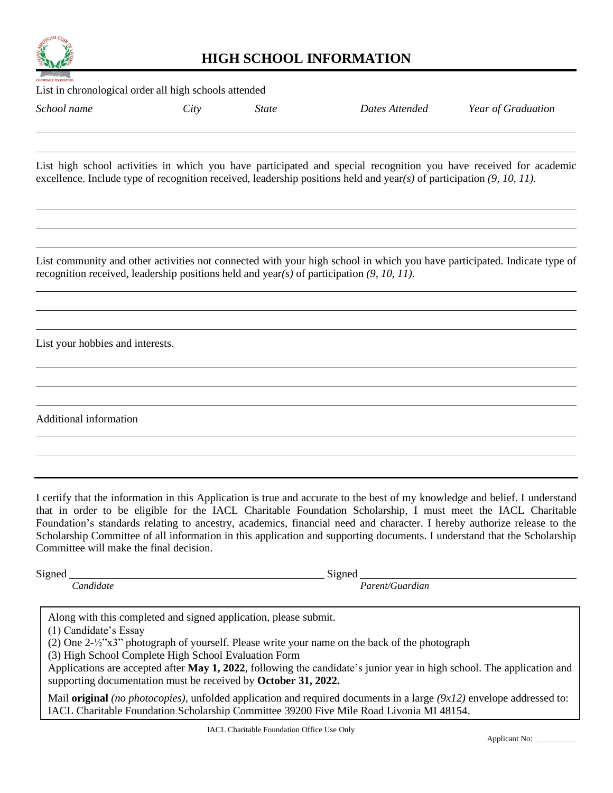

## **HIGH SCHOOL INFORMATION**

List in chronological order all high schools attended *School name City State Dates Attended Year of Graduation* List high school activities in which you have participated and special recognition you have received for academic excellence. Include type of recognition received, leadership positions held and year*(s)* of participation *(9, 10, 11).* List community and other activities not connected with your high school in which you have participated. Indicate type of recognition received, leadership positions held and year*(s)* of participation *(9, 10, 11).* List your hobbies and interests. Additional information

I certify that the information in this Application is true and accurate to the best of my knowledge and belief. I understand that in order to be eligible for the IACL Charitable Foundation Scholarship, I must meet the IACL Charitable Foundation's standards relating to ancestry, academics, financial need and character. I hereby authorize release to the Scholarship Committee of all information in this application and supporting documents. I understand that the Scholarship Committee will make the final decision.

| avned |  |
|-------|--|
|-------|--|

Signed Signed Signed Signed Signed Signed Signed Signed Signed Signed Signed Signed Signed Signed Signed Signed Signed Signed Signed Signed Signed Signed Signed Signed Signed Signed Signed Signed Signed Signed Signed Signe

*Candidate Parent/Guardian*

Along with this completed and signed application, please submit.

(1) Candidate's Essay

(2) One 2-½"x3" photograph of yourself. Please write your name on the back of the photograph

(3) High School Complete High School Evaluation Form

supporting documentation must be received by **October 31, 2022.** Applications are accepted after **May 1, 2022**, following the candidate's junior year in high school. The application and

Mail **original** *(no photocopies),* unfolded application and required documents in a large *(9x12)* envelope addressed to: IACL Charitable Foundation Scholarship Committee 39200 Five Mile Road Livonia MI 48154.

 $\overline{\phantom{a}}$